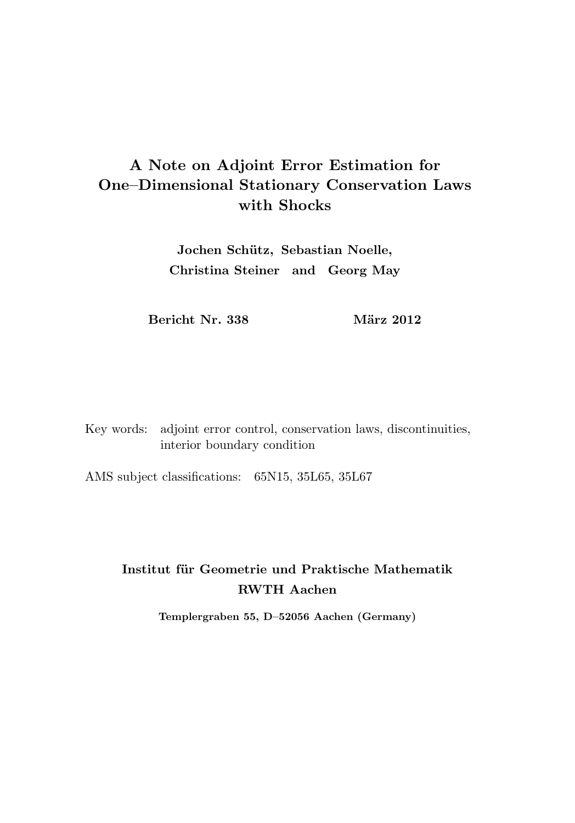# A Note on Adjoint Error Estimation for One–Dimensional Stationary Conservation Laws with Shocks

Jochen Schütz, Sebastian Noelle, Christina Steiner and Georg May

Bericht Nr. 338 März 2012

Key words: adjoint error control, conservation laws, discontinuities, interior boundary condition

AMS subject classifications: 65N15, 35L65, 35L67

## Institut für Geometrie und Praktische Mathematik RWTH Aachen

Templergraben 55, D–52056 Aachen (Germany)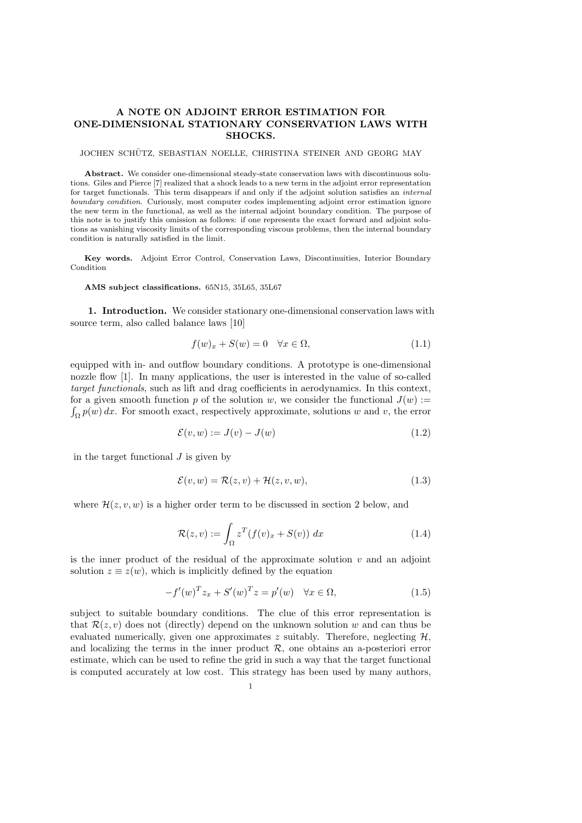## A NOTE ON ADJOINT ERROR ESTIMATION FOR ONE-DIMENSIONAL STATIONARY CONSERVATION LAWS WITH SHOCKS.

#### JOCHEN SCHUTZ, SEBASTIAN NOELLE, CHRISTINA STEINER AND GEORG MAY ¨

Abstract. We consider one-dimensional steady-state conservation laws with discontinuous solutions. Giles and Pierce [7] realized that a shock leads to a new term in the adjoint error representation for target functionals. This term disappears if and only if the adjoint solution satisfies an internal boundary condition. Curiously, most computer codes implementing adjoint error estimation ignore the new term in the functional, as well as the internal adjoint boundary condition. The purpose of this note is to justify this omission as follows: if one represents the exact forward and adjoint solutions as vanishing viscosity limits of the corresponding viscous problems, then the internal boundary condition is naturally satisfied in the limit.

Key words. Adjoint Error Control, Conservation Laws, Discontinuities, Interior Boundary Condition

#### AMS subject classifications. 65N15, 35L65, 35L67

1. Introduction. We consider stationary one-dimensional conservation laws with source term, also called balance laws [10]

$$
f(w)_x + S(w) = 0 \quad \forall x \in \Omega,
$$
\n(1.1)

equipped with in- and outflow boundary conditions. A prototype is one-dimensional nozzle flow [1]. In many applications, the user is interested in the value of so-called target functionals, such as lift and drag coefficients in aerodynamics. In this context, for a given smooth function p of the solution w, we consider the functional  $J(w) :=$  $\int_{\Omega} p(w) dx$ . For smooth exact, respectively approximate, solutions w and v, the error

$$
\mathcal{E}(v, w) := J(v) - J(w) \tag{1.2}
$$

in the target functional  $J$  is given by

$$
\mathcal{E}(v, w) = \mathcal{R}(z, v) + \mathcal{H}(z, v, w), \tag{1.3}
$$

where  $\mathcal{H}(z, v, w)$  is a higher order term to be discussed in section 2 below, and

$$
\mathcal{R}(z,v) := \int_{\Omega} z^T (f(v)_x + S(v)) \ dx \tag{1.4}
$$

is the inner product of the residual of the approximate solution  $v$  and an adjoint solution  $z \equiv z(w)$ , which is implicitly defined by the equation

$$
-f'(w)^T z_x + S'(w)^T z = p'(w) \quad \forall x \in \Omega,
$$
\n(1.5)

subject to suitable boundary conditions. The clue of this error representation is that  $\mathcal{R}(z, v)$  does not (directly) depend on the unknown solution w and can thus be evaluated numerically, given one approximates z suitably. Therefore, neglecting  $H$ , and localizing the terms in the inner product  $R$ , one obtains an a-posteriori error estimate, which can be used to refine the grid in such a way that the target functional is computed accurately at low cost. This strategy has been used by many authors,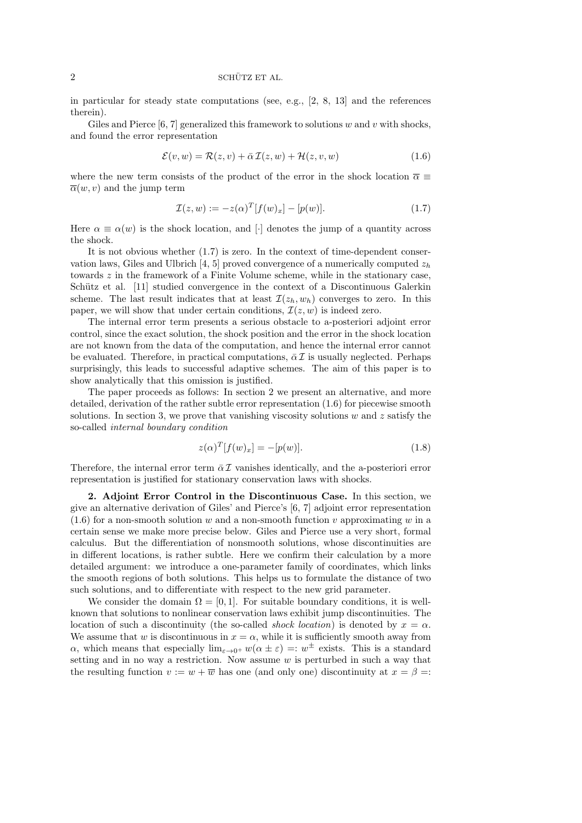in particular for steady state computations (see, e.g., [2, 8, 13] and the references therein).

Giles and Pierce  $[6, 7]$  generalized this framework to solutions w and v with shocks, and found the error representation

$$
\mathcal{E}(v, w) = \mathcal{R}(z, v) + \bar{\alpha} \mathcal{I}(z, w) + \mathcal{H}(z, v, w)
$$
\n(1.6)

where the new term consists of the product of the error in the shock location  $\bar{\alpha} \equiv$  $\overline{\alpha}(w, v)$  and the jump term

$$
\mathcal{I}(z, w) := -z(\alpha)^{T} [f(w)_{x}] - [p(w)]. \qquad (1.7)
$$

Here  $\alpha \equiv \alpha(w)$  is the shock location, and [·] denotes the jump of a quantity across the shock.

It is not obvious whether (1.7) is zero. In the context of time-dependent conservation laws, Giles and Ulbrich [4, 5] proved convergence of a numerically computed  $z_h$ towards z in the framework of a Finite Volume scheme, while in the stationary case, Schütz et al. [11] studied convergence in the context of a Discontinuous Galerkin scheme. The last result indicates that at least  $\mathcal{I}(z_h, w_h)$  converges to zero. In this paper, we will show that under certain conditions,  $\mathcal{I}(z, w)$  is indeed zero.

The internal error term presents a serious obstacle to a-posteriori adjoint error control, since the exact solution, the shock position and the error in the shock location are not known from the data of the computation, and hence the internal error cannot be evaluated. Therefore, in practical computations,  $\bar{\alpha} \mathcal{I}$  is usually neglected. Perhaps surprisingly, this leads to successful adaptive schemes. The aim of this paper is to show analytically that this omission is justified.

The paper proceeds as follows: In section 2 we present an alternative, and more detailed, derivation of the rather subtle error representation (1.6) for piecewise smooth solutions. In section 3, we prove that vanishing viscosity solutions w and z satisfy the so-called internal boundary condition

$$
z(\alpha)^{T}[f(w)_{x}] = -[p(w)].
$$
\n(1.8)

Therefore, the internal error term  $\bar{\alpha} \mathcal{I}$  vanishes identically, and the a-posteriori error representation is justified for stationary conservation laws with shocks.

2. Adjoint Error Control in the Discontinuous Case. In this section, we give an alternative derivation of Giles' and Pierce's [6, 7] adjoint error representation  $(1.6)$  for a non-smooth solution w and a non-smooth function v approximating w in a certain sense we make more precise below. Giles and Pierce use a very short, formal calculus. But the differentiation of nonsmooth solutions, whose discontinuities are in different locations, is rather subtle. Here we confirm their calculation by a more detailed argument: we introduce a one-parameter family of coordinates, which links the smooth regions of both solutions. This helps us to formulate the distance of two such solutions, and to differentiate with respect to the new grid parameter.

We consider the domain  $\Omega = [0, 1]$ . For suitable boundary conditions, it is wellknown that solutions to nonlinear conservation laws exhibit jump discontinuities. The location of such a discontinuity (the so-called *shock location*) is denoted by  $x = \alpha$ . We assume that w is discontinuous in  $x = \alpha$ , while it is sufficiently smooth away from  $\alpha$ , which means that especially  $\lim_{\varepsilon \to 0^+} w(\alpha \pm \varepsilon) =: w^{\pm}$  exists. This is a standard setting and in no way a restriction. Now assume  $w$  is perturbed in such a way that the resulting function  $v := w + \overline{w}$  has one (and only one) discontinuity at  $x = \beta =$ :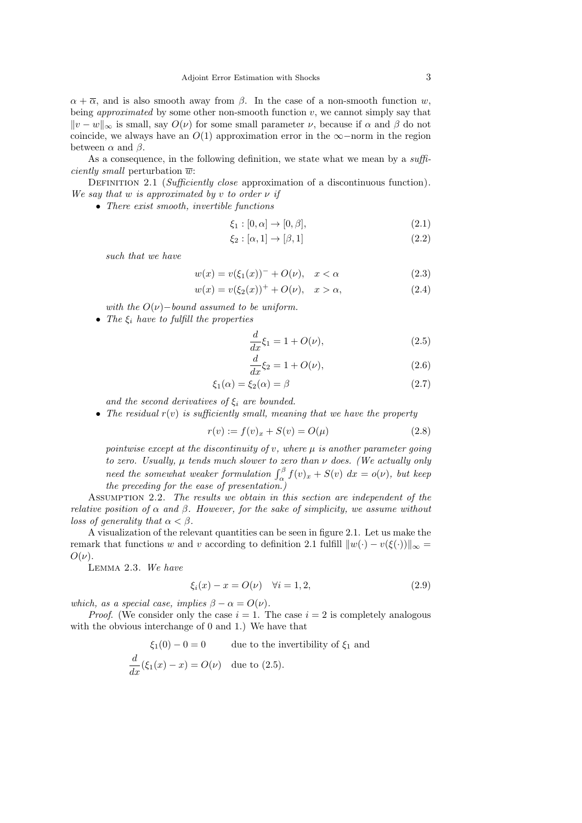$\alpha + \overline{\alpha}$ , and is also smooth away from  $\beta$ . In the case of a non-smooth function w, being *approximated* by some other non-smooth function  $v$ , we cannot simply say that  $||v - w||_{\infty}$  is small, say  $O(\nu)$  for some small parameter  $\nu$ , because if  $\alpha$  and  $\beta$  do not coincide, we always have an  $O(1)$  approximation error in the  $\infty$ −norm in the region between  $\alpha$  and  $\beta$ .

As a consequence, in the following definition, we state what we mean by a  $\text{suffixing}$ *ciently small* perturbation  $\overline{w}$ :

DEFINITION 2.1 (Sufficiently close approximation of a discontinuous function). We say that w is approximated by v to order  $\nu$  if

• There exist smooth, invertible functions

$$
\xi_1 : [0, \alpha] \to [0, \beta], \tag{2.1}
$$

$$
\xi_2 : [\alpha, 1] \to [\beta, 1] \tag{2.2}
$$

such that we have

$$
w(x) = v(\xi_1(x))^{-} + O(\nu), \quad x < \alpha \tag{2.3}
$$

$$
w(x) = v(\xi_2(x))^+ + O(\nu), \quad x > \alpha,
$$
\n(2.4)

with the  $O(\nu)$ -bound assumed to be uniform.

• The  $\xi_i$  have to fulfill the properties

$$
\frac{d}{dx}\xi_1 = 1 + O(\nu),\tag{2.5}
$$

$$
\frac{d}{dx}\xi_2 = 1 + O(\nu),\tag{2.6}
$$

$$
\xi_1(\alpha) = \xi_2(\alpha) = \beta \tag{2.7}
$$

and the second derivatives of  $\xi_i$  are bounded.

• The residual  $r(v)$  is sufficiently small, meaning that we have the property

$$
r(v) := f(v)_x + S(v) = O(\mu)
$$
\n(2.8)

pointwise except at the discontinuity of v, where  $\mu$  is another parameter going to zero. Usually,  $\mu$  tends much slower to zero than  $\nu$  does. (We actually only need the somewhat weaker formulation  $\int_{\alpha_1}^{\beta} f(v)_x + S(v) dx = o(v)$ , but keep the preceding for the ease of presentation.)

ASSUMPTION 2.2. The results we obtain in this section are independent of the relative position of  $\alpha$  and  $\beta$ . However, for the sake of simplicity, we assume without loss of generality that  $\alpha < \beta$ .

A visualization of the relevant quantities can be seen in figure 2.1. Let us make the remark that functions w and v according to definition 2.1 fulfill  $||w(\cdot) - v(\xi(\cdot))||_{\infty} =$  $O(\nu)$ .

Lemma 2.3. We have

$$
\xi_i(x) - x = O(\nu) \quad \forall i = 1, 2,
$$
\n
$$
(2.9)
$$

which, as a special case, implies  $\beta - \alpha = O(\nu)$ .

*Proof.* (We consider only the case  $i = 1$ . The case  $i = 2$  is completely analogous with the obvious interchange of 0 and 1.) We have that

$$
\xi_1(0) - 0 = 0
$$
 due to the invertibility of  $\xi_1$  and  
\n
$$
\frac{d}{dx}(\xi_1(x) - x) = O(\nu)
$$
 due to (2.5).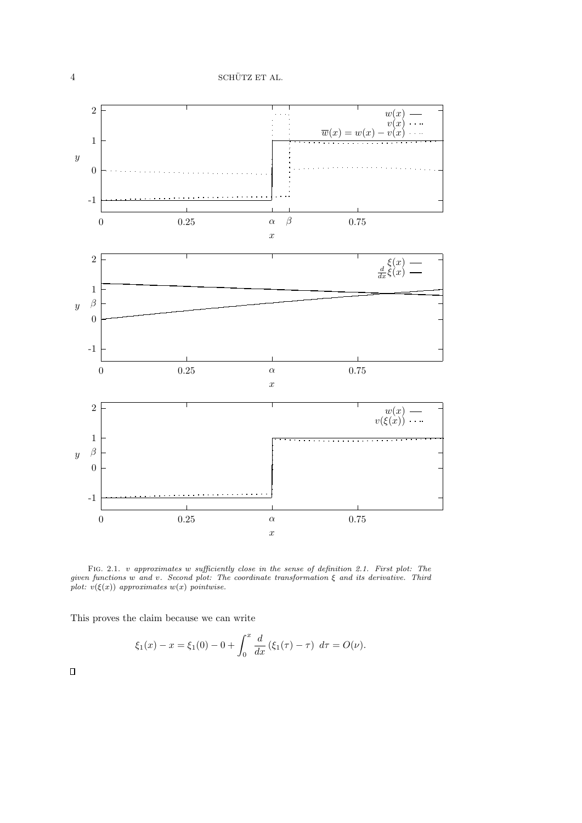

FIG. 2.1. v approximates w sufficiently close in the sense of definition 2.1. First plot: The given functions w and v. Second plot: The coordinate transformation  $\xi$  and its derivative. Third plot:  $v(\xi(x))$  approximates  $w(x)$  pointwise.

This proves the claim because we can write

$$
\xi_1(x) - x = \xi_1(0) - 0 + \int_0^x \frac{d}{dx} (\xi_1(\tau) - \tau) d\tau = O(\nu).
$$

 $\Box$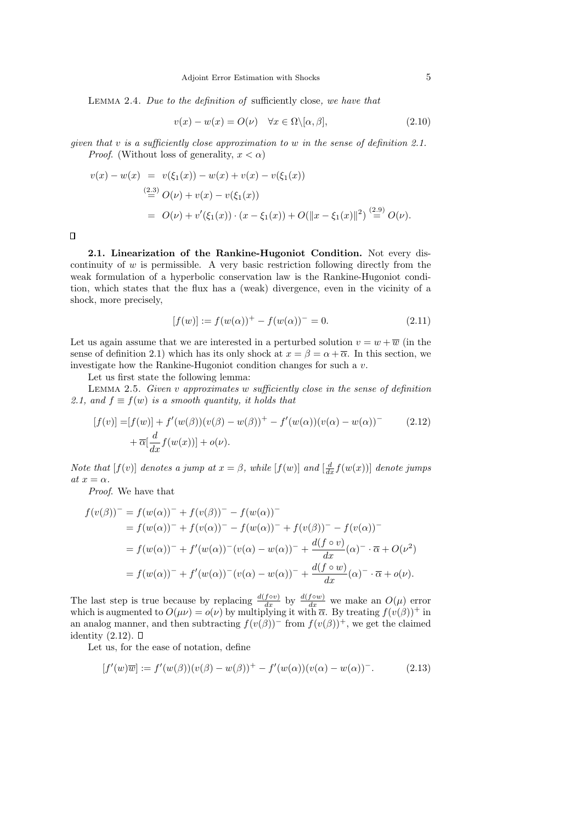Lemma 2.4. Due to the definition of sufficiently close, we have that

$$
v(x) - w(x) = O(\nu) \quad \forall x \in \Omega \setminus [\alpha, \beta], \tag{2.10}
$$

given that v is a sufficiently close approximation to w in the sense of definition 2.1. *Proof.* (Without loss of generality,  $x < \alpha$ )

$$
v(x) - w(x) = v(\xi_1(x)) - w(x) + v(x) - v(\xi_1(x))
$$
  
\n
$$
\stackrel{(2.3)}{=} O(\nu) + v(x) - v(\xi_1(x))
$$
  
\n
$$
= O(\nu) + v'(\xi_1(x)) \cdot (x - \xi_1(x)) + O(||x - \xi_1(x)||^2) \stackrel{(2.9)}{=} O(\nu).
$$

 $\Box$ 

2.1. Linearization of the Rankine-Hugoniot Condition. Not every discontinuity of  $w$  is permissible. A very basic restriction following directly from the weak formulation of a hyperbolic conservation law is the Rankine-Hugoniot condition, which states that the flux has a (weak) divergence, even in the vicinity of a shock, more precisely,

$$
[f(w)] := f(w(\alpha))^+ - f(w(\alpha))^- = 0.
$$
 (2.11)

Let us again assume that we are interested in a perturbed solution  $v = w + \overline{w}$  (in the sense of definition 2.1) which has its only shock at  $x = \beta = \alpha + \overline{\alpha}$ . In this section, we investigate how the Rankine-Hugoniot condition changes for such a v.

Let us first state the following lemma:

LEMMA 2.5. Given  $v$  approximates  $w$  sufficiently close in the sense of definition 2.1, and  $f \equiv f(w)$  is a smooth quantity, it holds that

$$
[f(v)] = [f(w)] + f'(w(\beta))(v(\beta) - w(\beta))^+ - f'(w(\alpha))(v(\alpha) - w(\alpha))^-\n+ \overline{\alpha}[\frac{d}{dx}f(w(x))] + o(\nu).
$$
\n(2.12)

Note that  $[f(v)]$  denotes a jump at  $x = \beta$ , while  $[f(w)]$  and  $\left[\frac{d}{dx}f(w(x))\right]$  denote jumps at  $x = \alpha$ .

Proof. We have that

$$
f(v(\beta))^{-} = f(w(\alpha))^{-} + f(v(\beta))^{-} - f(w(\alpha))^{-}
$$
  
=  $f(w(\alpha))^{-} + f(v(\alpha))^{-} - f(w(\alpha))^{-} + f(v(\beta))^{-} - f(v(\alpha))^{-}$   
=  $f(w(\alpha))^{-} + f'(w(\alpha))^{-} (v(\alpha) - w(\alpha))^{-} + \frac{d(f \circ v)}{dx} (\alpha)^{-} \cdot \overline{\alpha} + O(\nu^{2})$   
=  $f(w(\alpha))^{-} + f'(w(\alpha))^{-} (v(\alpha) - w(\alpha))^{-} + \frac{d(f \circ w)}{dx} (\alpha)^{-} \cdot \overline{\alpha} + o(\nu).$ 

The last step is true because by replacing  $\frac{d(f \circ v)}{dx}$  by  $\frac{d(f \circ w)}{dx}$  we make an  $O(\mu)$  error which is augmented to  $O(\mu\nu) = o(\nu)$  by multiplying it with  $\bar{\alpha}$ . By treating  $f(v(\beta))^+$  in an analog manner, and then subtracting  $f(v(\beta))^-$  from  $f(v(\beta))^+$ , we get the claimed identity  $(2.12)$ .  $\square$ 

Let us, for the ease of notation, define

$$
[f'(w)\overline{w}] := f'(w(\beta))(v(\beta) - w(\beta))^+ - f'(w(\alpha))(v(\alpha) - w(\alpha))^-. \tag{2.13}
$$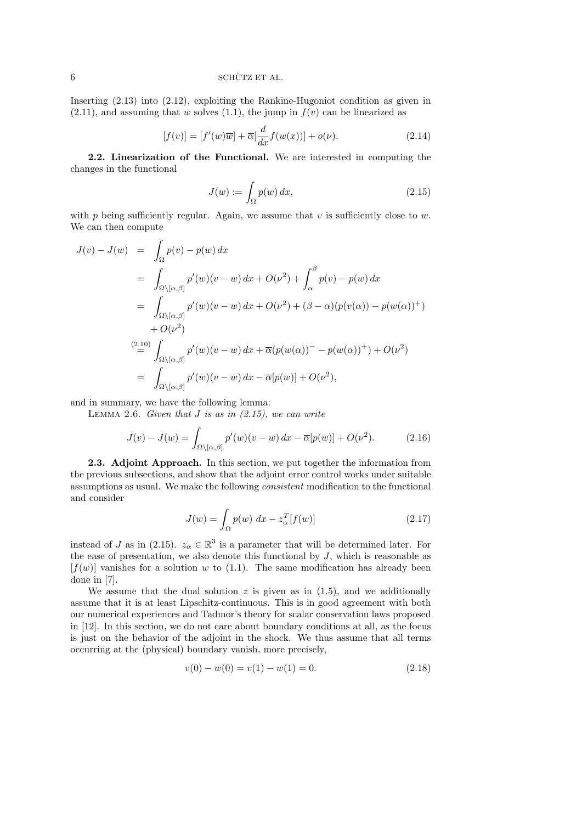## $6 \t\t\t \text{SCHÜTZ ET AL}.$

Inserting (2.13) into (2.12), exploiting the Rankine-Hugoniot condition as given in  $(2.11)$ , and assuming that w solves  $(1.1)$ , the jump in  $f(v)$  can be linearized as

$$
[f(v)] = [f'(w)\overline{w}] + \overline{\alpha} \left[\frac{d}{dx}f(w(x))\right] + o(\nu). \tag{2.14}
$$

2.2. Linearization of the Functional. We are interested in computing the changes in the functional

$$
J(w) := \int_{\Omega} p(w) dx,
$$
\n(2.15)

with p being sufficiently regular. Again, we assume that v is sufficiently close to w. We can then compute

$$
J(v) - J(w) = \int_{\Omega} p(v) - p(w) dx
$$
  
\n
$$
= \int_{\Omega \setminus [\alpha, \beta]} p'(w)(v - w) dx + O(\nu^2) + \int_{\alpha}^{\beta} p(v) - p(w) dx
$$
  
\n
$$
= \int_{\Omega \setminus [\alpha, \beta]} p'(w)(v - w) dx + O(\nu^2) + (\beta - \alpha)(p(v(\alpha)) - p(w(\alpha))^+)
$$
  
\n
$$
+ O(\nu^2)
$$
  
\n
$$
\stackrel{(2.10)}{=} \int_{\Omega \setminus [\alpha, \beta]} p'(w)(v - w) dx + \overline{\alpha}(p(w(\alpha)) - p(w(\alpha))^+) + O(\nu^2)
$$
  
\n
$$
= \int_{\Omega \setminus [\alpha, \beta]} p'(w)(v - w) dx - \overline{\alpha}[p(w)] + O(\nu^2),
$$

and in summary, we have the following lemma:

LEMMA 2.6. Given that  $J$  is as in  $(2.15)$ , we can write

$$
J(v) - J(w) = \int_{\Omega \setminus [\alpha, \beta]} p'(w)(v - w) dx - \overline{\alpha}[p(w)] + O(\nu^2). \tag{2.16}
$$

2.3. Adjoint Approach. In this section, we put together the information from the previous subsections, and show that the adjoint error control works under suitable assumptions as usual. We make the following consistent modification to the functional and consider

$$
J(w) = \int_{\Omega} p(w) dx - z_{\alpha}^{T} [f(w)] \qquad (2.17)
$$

instead of J as in (2.15).  $z_{\alpha} \in \mathbb{R}^{3}$  is a parameter that will be determined later. For the ease of presentation, we also denote this functional by  $J$ , which is reasonable as  $[f(w)]$  vanishes for a solution w to (1.1). The same modification has already been done in [7].

We assume that the dual solution  $z$  is given as in (1.5), and we additionally assume that it is at least Lipschitz-continuous. This is in good agreement with both our numerical experiences and Tadmor's theory for scalar conservation laws proposed in [12]. In this section, we do not care about boundary conditions at all, as the focus is just on the behavior of the adjoint in the shock. We thus assume that all terms occurring at the (physical) boundary vanish, more precisely,

$$
v(0) - w(0) = v(1) - w(1) = 0.
$$
\n(2.18)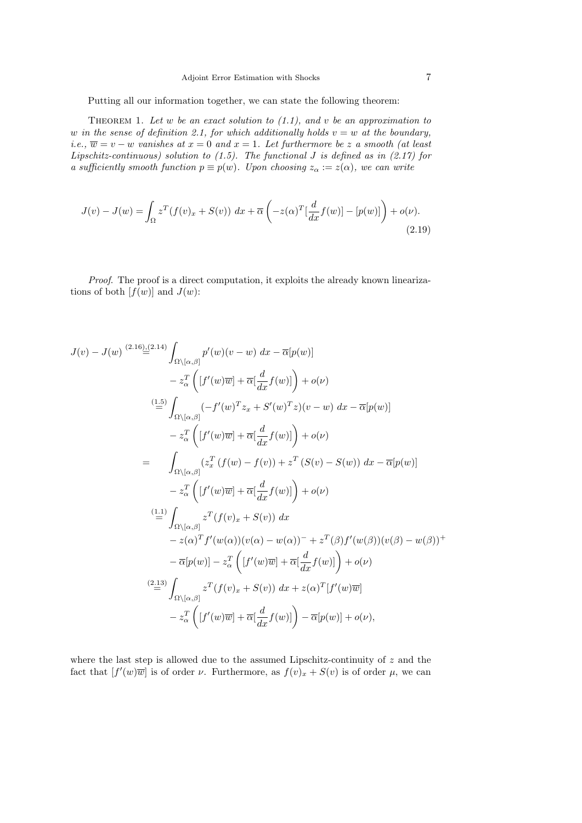Putting all our information together, we can state the following theorem:

THEOREM 1. Let  $w$  be an exact solution to  $(1.1)$ , and  $v$  be an approximation to w in the sense of definition 2.1, for which additionally holds  $v = w$  at the boundary, i.e.,  $\overline{w} = v - w$  vanishes at  $x = 0$  and  $x = 1$ . Let furthermore be z a smooth (at least Lipschitz-continuous) solution to  $(1.5)$ . The functional J is defined as in  $(2.17)$  for a sufficiently smooth function  $p \equiv p(w)$ . Upon choosing  $z_{\alpha} := z(\alpha)$ , we can write

$$
J(v) - J(w) = \int_{\Omega} z^T (f(v)_x + S(v)) dx + \overline{\alpha} \left( -z(\alpha)^T \left[ \frac{d}{dx} f(w) \right] - [p(w)] \right) + o(\nu).
$$
\n(2.19)

Proof. The proof is a direct computation, it exploits the already known linearizations of both  $[f(w)]$  and  $J(w)$ :

$$
J(v) - J(w) \stackrel{(2.16),(2.14)}{=} \int_{\Omega \setminus [\alpha,\beta]} p'(w)(v-w) dx - \overline{\alpha}[p(w)]
$$
  
\n
$$
- z_{\alpha}^{T} \left( [f'(w)\overline{w}] + \overline{\alpha}[\frac{d}{dx}f(w)] \right) + o(\nu)
$$
  
\n
$$
\stackrel{(1.5)}{=} \int_{\Omega \setminus [\alpha,\beta]} (-f'(w)^{T}z_{x} + S'(w)^{T}z)(v-w) dx - \overline{\alpha}[p(w)]
$$
  
\n
$$
- z_{\alpha}^{T} \left( [f'(w)\overline{w}] + \overline{\alpha}[\frac{d}{dx}f(w)] \right) + o(\nu)
$$
  
\n
$$
= \int_{\Omega \setminus [\alpha,\beta]} (z_{x}^{T} (f(w) - f(v)) + z^{T} (S(v) - S(w)) dx - \overline{\alpha}[p(w)]
$$
  
\n
$$
- z_{\alpha}^{T} \left( [f'(w)\overline{w}] + \overline{\alpha}[\frac{d}{dx}f(w)] \right) + o(\nu)
$$
  
\n
$$
\stackrel{(1.1)}{=} \int_{\Omega \setminus [\alpha,\beta]} z^{T} (f(v)_{x} + S(v)) dx
$$
  
\n
$$
- z(\alpha)^{T} f'(w(\alpha)) (v(\alpha) - w(\alpha))^{-} + z^{T}(\beta) f'(w(\beta)) (v(\beta) - w(\beta))^{+}
$$
  
\n
$$
- \overline{\alpha}[p(w)] - z_{\alpha}^{T} \left( [f'(w)\overline{w}] + \overline{\alpha}[\frac{d}{dx}f(w)] \right) + o(\nu)
$$
  
\n
$$
\stackrel{(2.13)}{=} \int_{\Omega \setminus [\alpha,\beta]} z^{T} (f(v)_{x} + S(v)) dx + z(\alpha)^{T} [f'(w)\overline{w}]
$$
  
\n
$$
- z_{\alpha}^{T} \left( [f'(w)\overline{w}] + \overline{\alpha}[\frac{d}{dx}f(w)] \right) - \overline{\alpha}[p(w)] + o(\nu),
$$

where the last step is allowed due to the assumed Lipschitz-continuity of  $z$  and the fact that  $[f'(w)\overline{w}]$  is of order  $\nu$ . Furthermore, as  $f(v)_x + S(v)$  is of order  $\mu$ , we can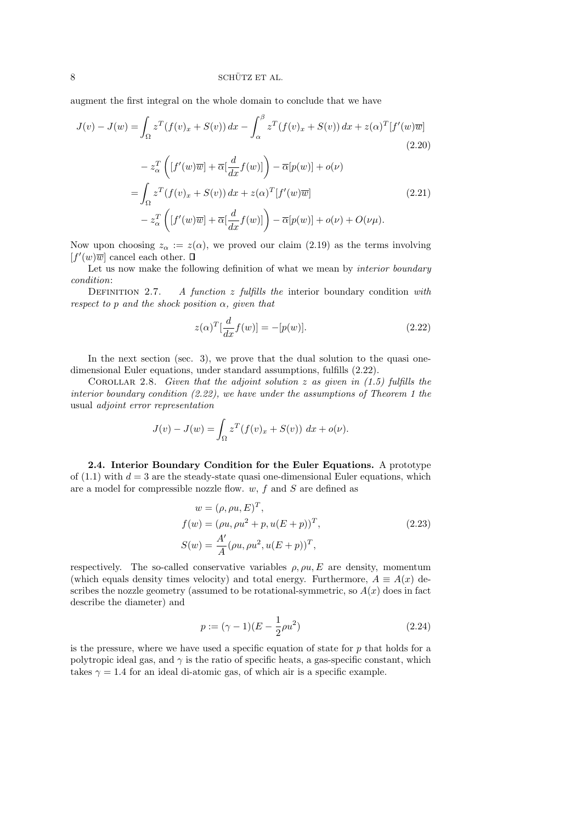augment the first integral on the whole domain to conclude that we have

$$
J(v) - J(w) = \int_{\Omega} z^{T} (f(v)_{x} + S(v)) dx - \int_{\alpha}^{\beta} z^{T} (f(v)_{x} + S(v)) dx + z(\alpha)^{T} [f'(w)\overline{w}]
$$
\n
$$
- z_{\alpha}^{T} \left( [f'(w)\overline{w}] + \overline{\alpha} [\frac{d}{dx} f(w)] \right) - \overline{\alpha}[p(w)] + o(\nu)
$$
\n
$$
= \int_{\Omega} z^{T} (f(v)_{x} + S(v)) dx + z(\alpha)^{T} [f'(w)\overline{w}]
$$
\n
$$
- z_{\alpha}^{T} \left( [f'(w)\overline{w}] + \overline{\alpha} [\frac{d}{dx} f(w)] \right) - \overline{\alpha}[p(w)] + o(\nu) + O(\nu\mu).
$$
\n(2.21)

Now upon choosing  $z_{\alpha} := z(\alpha)$ , we proved our claim (2.19) as the terms involving  $[f'(w)\overline{w}]$  cancel each other.

Let us now make the following definition of what we mean by *interior boundary* condition:

DEFINITION 2.7. A function z fulfills the interior boundary condition with respect to p and the shock position  $\alpha$ , given that

$$
z(\alpha)^{T} \left[\frac{d}{dx} f(w)\right] = -[p(w)].
$$
\n(2.22)

In the next section (sec. 3), we prove that the dual solution to the quasi onedimensional Euler equations, under standard assumptions, fulfills (2.22).

COROLLAR 2.8. Given that the adjoint solution z as given in  $(1.5)$  fulfills the interior boundary condition (2.22), we have under the assumptions of Theorem 1 the usual adjoint error representation

$$
J(v) - J(w) = \int_{\Omega} z^T (f(v)_x + S(v)) dx + o(v).
$$

2.4. Interior Boundary Condition for the Euler Equations. A prototype of  $(1.1)$  with  $d = 3$  are the steady-state quasi one-dimensional Euler equations, which are a model for compressible nozzle flow.  $w, f$  and  $S$  are defined as

$$
w = (\rho, \rho u, E)^{T},
$$
  
\n
$$
f(w) = (\rho u, \rho u^{2} + p, u(E + p))^{T},
$$
  
\n
$$
S(w) = \frac{A'}{A} (\rho u, \rho u^{2}, u(E + p))^{T},
$$
\n(2.23)

respectively. The so-called conservative variables  $\rho$ ,  $\rho u$ , E are density, momentum (which equals density times velocity) and total energy. Furthermore,  $A \equiv A(x)$  describes the nozzle geometry (assumed to be rotational-symmetric, so  $A(x)$  does in fact describe the diameter) and

$$
p := (\gamma - 1)(E - \frac{1}{2}\rho u^2)
$$
\n(2.24)

is the pressure, where we have used a specific equation of state for  $p$  that holds for a polytropic ideal gas, and  $\gamma$  is the ratio of specific heats, a gas-specific constant, which takes  $\gamma = 1.4$  for an ideal di-atomic gas, of which air is a specific example.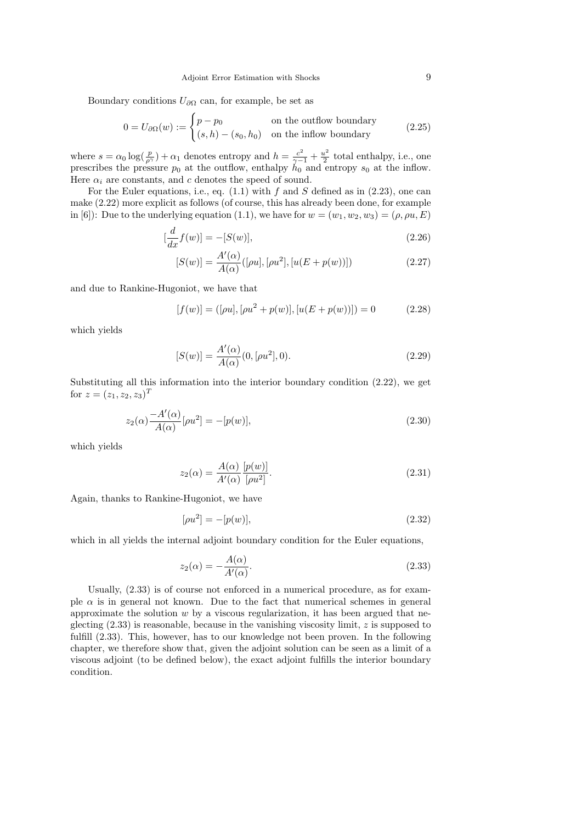Boundary conditions  $U_{\partial\Omega}$  can, for example, be set as

$$
0 = U_{\partial\Omega}(w) := \begin{cases} p - p_0 & \text{on the outflow boundary} \\ (s, h) - (s_0, h_0) & \text{on the inflow boundary} \end{cases}
$$
 (2.25)

where  $s = \alpha_0 \log(\frac{p}{\rho^{\gamma}}) + \alpha_1$  denotes entropy and  $h = \frac{c^2}{\gamma - 1} + \frac{u^2}{2}$  $\frac{u^2}{2}$  total enthalpy, i.e., one prescribes the pressure  $p_0$  at the outflow, enthalpy  $h_0$  and entropy  $s_0$  at the inflow. Here  $\alpha_i$  are constants, and c denotes the speed of sound.

For the Euler equations, i.e., eq.  $(1.1)$  with f and S defined as in  $(2.23)$ , one can make (2.22) more explicit as follows (of course, this has already been done, for example in [6]): Due to the underlying equation (1.1), we have for  $w = (w_1, w_2, w_3) = (\rho, \rho u, E)$ 

$$
[\frac{d}{dx}f(w)] = -[S(w)],\tag{2.26}
$$

$$
[S(w)] = \frac{A'(\alpha)}{A(\alpha)}([\rho u], [\rho u^2], [u(E + p(w))])
$$
\n(2.27)

and due to Rankine-Hugoniot, we have that

$$
[f(w)] = ([\rho u], [\rho u^2 + p(w)], [u(E + p(w))]) = 0 \tag{2.28}
$$

which yields

$$
[S(w)] = \frac{A'(\alpha)}{A(\alpha)}(0, [\rho u^2], 0).
$$
\n(2.29)

Substituting all this information into the interior boundary condition (2.22), we get for  $z = (z_1, z_2, z_3)^T$ 

$$
z_2(\alpha) \frac{-A'(\alpha)}{A(\alpha)} [\rho u^2] = -[p(w)],
$$
\n(2.30)

which yields

$$
z_2(\alpha) = \frac{A(\alpha)}{A'(\alpha)} \frac{[p(w)]}{[\rho u^2]}.
$$
\n(2.31)

Again, thanks to Rankine-Hugoniot, we have

$$
[\rho u^2] = -[p(w)],\tag{2.32}
$$

which in all yields the internal adjoint boundary condition for the Euler equations,

$$
z_2(\alpha) = -\frac{A(\alpha)}{A'(\alpha)}.\tag{2.33}
$$

Usually, (2.33) is of course not enforced in a numerical procedure, as for example  $\alpha$  is in general not known. Due to the fact that numerical schemes in general approximate the solution  $w$  by a viscous regularization, it has been argued that neglecting  $(2.33)$  is reasonable, because in the vanishing viscosity limit, z is supposed to fulfill (2.33). This, however, has to our knowledge not been proven. In the following chapter, we therefore show that, given the adjoint solution can be seen as a limit of a viscous adjoint (to be defined below), the exact adjoint fulfills the interior boundary condition.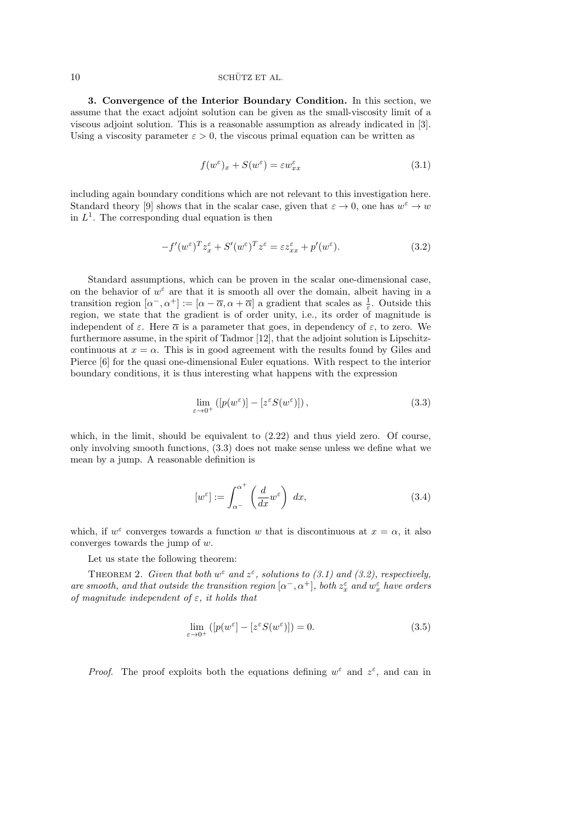### $10$  SCHÜTZ ET AL.

3. Convergence of the Interior Boundary Condition. In this section, we assume that the exact adjoint solution can be given as the small-viscosity limit of a viscous adjoint solution. This is a reasonable assumption as already indicated in [3]. Using a viscosity parameter  $\varepsilon > 0$ , the viscous primal equation can be written as

$$
f(w^{\varepsilon})_x + S(w^{\varepsilon}) = \varepsilon w_{xx}^{\varepsilon} \tag{3.1}
$$

including again boundary conditions which are not relevant to this investigation here. Standard theory [9] shows that in the scalar case, given that  $\varepsilon \to 0$ , one has  $w^{\varepsilon} \to w$ in  $L<sup>1</sup>$ . The corresponding dual equation is then

$$
-f'(w^{\varepsilon})^{T} z_{x}^{\varepsilon} + S'(w^{\varepsilon})^{T} z^{\varepsilon} = \varepsilon z_{xx}^{\varepsilon} + p'(w^{\varepsilon}). \tag{3.2}
$$

Standard assumptions, which can be proven in the scalar one-dimensional case, on the behavior of  $w^{\varepsilon}$  are that it is smooth all over the domain, albeit having in a transition region  $[\alpha^-, \alpha^+] := [\alpha - \overline{\alpha}, \alpha + \overline{\alpha}]$  a gradient that scales as  $\frac{1}{\varepsilon}$ . Outside this region, we state that the gradient is of order unity, i.e., its order of magnitude is independent of  $\varepsilon$ . Here  $\overline{\alpha}$  is a parameter that goes, in dependency of  $\varepsilon$ , to zero. We furthermore assume, in the spirit of Tadmor [12], that the adjoint solution is Lipschitzcontinuous at  $x = \alpha$ . This is in good agreement with the results found by Giles and Pierce [6] for the quasi one-dimensional Euler equations. With respect to the interior boundary conditions, it is thus interesting what happens with the expression

$$
\lim_{\varepsilon \to 0^+} \left( \left[ p(w^{\varepsilon}) \right] - \left[ z^{\varepsilon} S(w^{\varepsilon}) \right] \right),\tag{3.3}
$$

which, in the limit, should be equivalent to  $(2.22)$  and thus yield zero. Of course, only involving smooth functions, (3.3) does not make sense unless we define what we mean by a jump. A reasonable definition is

$$
[w^{\varepsilon}] := \int_{\alpha^{-}}^{\alpha^{+}} \left(\frac{d}{dx} w^{\varepsilon}\right) dx,
$$
\n(3.4)

which, if  $w^{\varepsilon}$  converges towards a function w that is discontinuous at  $x = \alpha$ , it also converges towards the jump of w.

Let us state the following theorem:

THEOREM 2. Given that both  $w^{\varepsilon}$  and  $z^{\varepsilon}$ , solutions to (3.1) and (3.2), respectively, are smooth, and that outside the transition region  $[\alpha^-, \alpha^+]$ , both  $z_x^{\varepsilon}$  and  $w_x^{\varepsilon}$  have orders of magnitude independent of  $\varepsilon$ , it holds that

$$
\lim_{\varepsilon \to 0^+} \left( \left[ p(w^\varepsilon) - \left[ z^\varepsilon S(w^\varepsilon) \right] \right] \right) = 0. \tag{3.5}
$$

*Proof.* The proof exploits both the equations defining  $w^{\varepsilon}$  and  $z^{\varepsilon}$ , and can in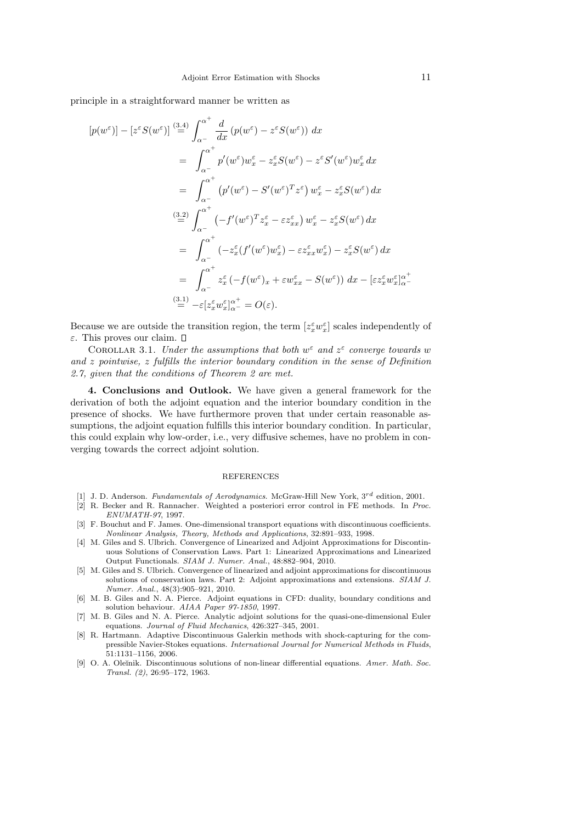principle in a straightforward manner be written as

$$
[p(w^{\varepsilon})] - [z^{\varepsilon} S(w^{\varepsilon})] \stackrel{(3.4)}{=} \int_{\alpha^{-}}^{\alpha^{+}} \frac{d}{dx} (p(w^{\varepsilon}) - z^{\varepsilon} S(w^{\varepsilon})) dx
$$
  
\n
$$
= \int_{\alpha^{-}}^{\alpha^{+}} p'(w^{\varepsilon}) w_x^{\varepsilon} - z_x^{\varepsilon} S(w^{\varepsilon}) - z^{\varepsilon} S'(w^{\varepsilon}) w_x^{\varepsilon} dx
$$
  
\n
$$
= \int_{\alpha^{-}}^{\alpha^{+}} (p'(w^{\varepsilon}) - S'(w^{\varepsilon})^{T} z^{\varepsilon}) w_x^{\varepsilon} - z_x^{\varepsilon} S(w^{\varepsilon}) dx
$$
  
\n
$$
\stackrel{(3.2)}{=} \int_{\alpha^{-}}^{\alpha^{+}} (-f'(w^{\varepsilon})^{T} z_x^{\varepsilon} - \varepsilon z_{xx}^{\varepsilon}) w_x^{\varepsilon} - z_x^{\varepsilon} S(w^{\varepsilon}) dx
$$
  
\n
$$
= \int_{\alpha^{-}}^{\alpha^{+}} (-z_x^{\varepsilon} (f'(w^{\varepsilon}) w_x^{\varepsilon}) - \varepsilon z_{xx}^{\varepsilon} w_x^{\varepsilon}) - z_x^{\varepsilon} S(w^{\varepsilon}) dx
$$
  
\n
$$
= \int_{\alpha^{-}}^{\alpha^{+}} z_x^{\varepsilon} (-f(w^{\varepsilon})_{x} + \varepsilon w_{xx}^{\varepsilon} - S(w^{\varepsilon})) dx - [\varepsilon z_x^{\varepsilon} w_x^{\varepsilon}]_{\alpha^{-}}^{\alpha^{-}}
$$
  
\n
$$
\stackrel{(3.1)}{=} -\varepsilon [z_x^{\varepsilon} w_x^{\varepsilon}]_{\alpha^{-}}^{\alpha^{+}} = O(\varepsilon).
$$

Because we are outside the transition region, the term  $[z_x^{\varepsilon}w_x^{\varepsilon}]$  scales independently of ε. This proves our claim.

COROLLAR 3.1. Under the assumptions that both  $w^{\varepsilon}$  and  $z^{\varepsilon}$  converge towards w and z pointwise, z fulfills the interior boundary condition in the sense of Definition 2.7, given that the conditions of Theorem 2 are met.

4. Conclusions and Outlook. We have given a general framework for the derivation of both the adjoint equation and the interior boundary condition in the presence of shocks. We have furthermore proven that under certain reasonable assumptions, the adjoint equation fulfills this interior boundary condition. In particular, this could explain why low-order, i.e., very diffusive schemes, have no problem in converging towards the correct adjoint solution.

#### REFERENCES

- [1] J. D. Anderson. Fundamentals of Aerodynamics. McGraw-Hill New York,  $3^{rd}$  edition, 2001.
- [2] R. Becker and R. Rannacher. Weighted a posteriori error control in FE methods. In Proc. ENUMATH-97, 1997.
- [3] F. Bouchut and F. James. One-dimensional transport equations with discontinuous coefficients. Nonlinear Analysis, Theory, Methods and Applications, 32:891–933, 1998.
- [4] M. Giles and S. Ulbrich. Convergence of Linearized and Adjoint Approximations for Discontinuous Solutions of Conservation Laws. Part 1: Linearized Approximations and Linearized Output Functionals. SIAM J. Numer. Anal., 48:882–904, 2010.
- [5] M. Giles and S. Ulbrich. Convergence of linearized and adjoint approximations for discontinuous solutions of conservation laws. Part 2: Adjoint approximations and extensions. SIAM J. Numer. Anal., 48(3):905–921, 2010.
- [6] M. B. Giles and N. A. Pierce. Adjoint equations in CFD: duality, boundary conditions and solution behaviour. AIAA Paper 97-1850, 1997.
- [7] M. B. Giles and N. A. Pierce. Analytic adjoint solutions for the quasi-one-dimensional Euler equations. Journal of Fluid Mechanics, 426:327–345, 2001.
- [8] R. Hartmann. Adaptive Discontinuous Galerkin methods with shock-capturing for the compressible Navier-Stokes equations. International Journal for Numerical Methods in Fluids, 51:1131–1156, 2006.
- [9] O. A. Oleĭnik. Discontinuous solutions of non-linear differential equations. Amer. Math. Soc. Transl. (2), 26:95–172, 1963.